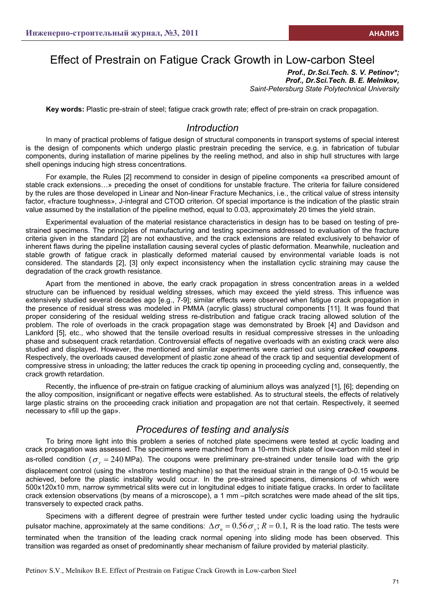# Effect of Prestrain on Fatigue Crack Growth in Low-carbon Steel

*Prof., Dr.Sci.Tech. S. V. Petinov\*; Prof., Dr.Sci.Tech. B. E. Melnikov, Saint-Petersburg State Polytechnical University* 

**Key words:** Plastic pre-strain of steel; fatigue crack growth rate; effect of pre-strain on crack propagation.

## *Introduction*

In many of practical problems of fatigue design of structural components in transport systems of special interest is the design of components which undergo plastic prestrain preceding the service, e.g. in fabrication of tubular components, during installation of marine pipelines by the reeling method, and also in ship hull structures with large shell openings inducing high stress concentrations.

For example, the Rules [2] recommend to consider in design of pipeline components «a prescribed amount of stable crack extensions…» preceding the onset of conditions for unstable fracture. The criteria for failure considered by the rules are those developed in Linear and Non-linear Fracture Mechanics, i.e., the critical value of stress intensity factor, «fracture toughness», J-integral and CTOD criterion. Of special importance is the indication of the plastic strain value assumed by the installation of the pipeline method, equal to 0.03, approximately 20 times the yield strain.

Experimental evaluation of the material resistance characteristics in design has to be based on testing of prestrained specimens. The principles of manufacturing and testing specimens addressed to evaluation of the fracture criteria given in the standard [2] are not exhaustive, and the crack extensions are related exclusively to behavior of inherent flaws during the pipeline installation causing several cycles of plastic deformation. Meanwhile, nucleation and stable growth of fatigue crack in plastically deformed material caused by environmental variable loads is not considered. The standards [2], [3] only expect inconsistency when the installation cyclic straining may cause the degradation of the crack growth resistance.

Apart from the mentioned in above, the early crack propagation in stress concentration areas in a welded structure can be influenced by residual welding stresses, which may exceed the yield stress. This influence was extensively studied several decades ago [e.g., 7-9]; similar effects were observed when fatigue crack propagation in the presence of residual stress was modeled in PMMA (acrylic glass) structural components [11]. It was found that proper considering of the residual welding stress re-distribution and fatigue crack tracing allowed solution of the problem. The role of overloads in the crack propagation stage was demonstrated by Broek [4] and Davidson and Lankford [5], etc., who showed that the tensile overload results in residual compressive stresses in the unloading phase and subsequent crack retardation. Controversial effects of negative overloads with an existing crack were also studied and displayed. However, the mentioned and similar experiments were carried out using *cracked coupons*. Respectively, the overloads caused development of plastic zone ahead of the crack tip and sequential development of compressive stress in unloading; the latter reduces the crack tip opening in proceeding cycling and, consequently, the crack growth retardation.

Recently, the influence of pre-strain on fatigue cracking of aluminium alloys was analyzed [1], [6]; depending on the alloy composition, insignificant or negative effects were established. As to structural steels, the effects of relatively large plastic strains on the proceeding crack initiation and propagation are not that certain. Respectively, it seemed necessary to «fill up the gap».

## *Procedures of testing and analysis*

To bring more light into this problem a series of notched plate specimens were tested at cyclic loading and crack propagation was assessed. The specimens were machined from a 10-mm thick plate of low-carbon mild steel in as-rolled condition ( $\sigma_y = 240$  MPa). The coupons were preliminary pre-strained under tensile load with the grip displacement control (using the «Instron» testing machine) so that the residual strain in the range of 0-0.15 would be achieved, before the plastic instability would occur. In the pre-strained specimens, dimensions of which were 500x120x10 mm, narrow symmetrical slits were cut in longitudinal edges to initiate fatigue cracks. In order to facilitate crack extension observations (by means of a microscope), a 1 mm –pitch scratches were made ahead of the slit tips, transversely to expected crack paths.

Specimens with a different degree of prestrain were further tested under cyclic loading using the hydraulic pulsator machine, approximately at the same conditions:  $\Delta \sigma_n = 0.56 \sigma_v$ ;  $R = 0.1$ , R is the load ratio. The tests were terminated when the transition of the leading crack normal opening into sliding mode has been observed. This transition was regarded as onset of predominantly shear mechanism of failure provided by material plasticity.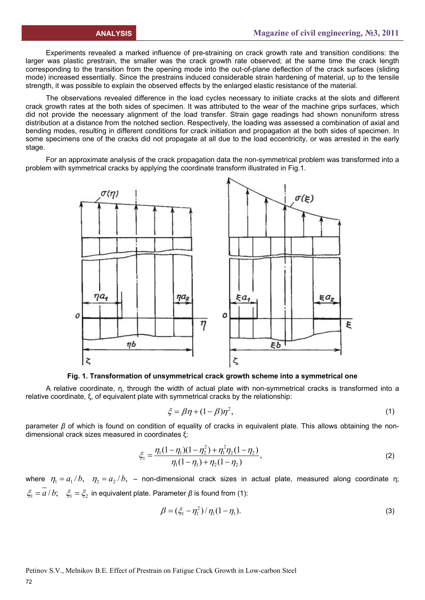Experiments revealed a marked influence of pre-straining on crack growth rate and transition conditions: the larger was plastic prestrain, the smaller was the crack growth rate observed; at the same time the crack length corresponding to the transition from the opening mode into the out-of-plane deflection of the crack surfaces (sliding mode) increased essentially. Since the prestrains induced considerable strain hardening of material, up to the tensile strength, it was possible to explain the observed effects by the enlarged elastic resistance of the material.

The observations revealed difference in the load cycles necessary to initiate cracks at the slots and different crack growth rates at the both sides of specimen. It was attributed to the wear of the machine grips surfaces, which did not provide the necessary alignment of the load transfer. Strain gage readings had shown nonuniform stress distribution at a distance from the notched section. Respectively, the loading was assessed a combination of axial and bending modes, resulting in different conditions for crack initiation and propagation at the both sides of specimen. In some specimens one of the cracks did not propagate at all due to the load eccentricity, or was arrested in the early stage.

For an approximate analysis of the crack propagation data the non-symmetrical problem was transformed into a problem with symmetrical cracks by applying the coordinate transform illustrated in Fig.1.



**Fig. 1. Transformation of unsymmetrical crack growth scheme into a symmetrical one** 

A relative coordinate, η, through the width of actual plate with non-symmetrical cracks is transformed into a relative coordinate, ξ, of equivalent plate with symmetrical cracks by the relationship:

$$
\xi = \beta \eta + (1 - \beta)\eta^2,\tag{1}
$$

parameter *β* of which is found on condition of equality of cracks in equivalent plate. This allows obtaining the nondimensional crack sizes measured in coordinates ξ:

$$
\xi_1 = \frac{\eta_1(1 - \eta_1)(1 - \eta_2^2) + \eta_1^2 \eta_2(1 - \eta_2)}{\eta_1(1 - \eta_1) + \eta_2(1 - \eta_2)},
$$
\n(2)

where  $\eta_1 = a_1/b$ ,  $\eta_2 = a_2/b$ , - non-dimensional crack sizes in actual plate, measured along coordinate η;  $\zeta_1 = \overline{a}/b; \quad \zeta_1 = \zeta_2$  in equivalent plate. Parameter  $\beta$  is found from (1):

$$
\beta = (\xi_1 - \eta_1^2) / \eta_1 (1 - \eta_1).
$$
 (3)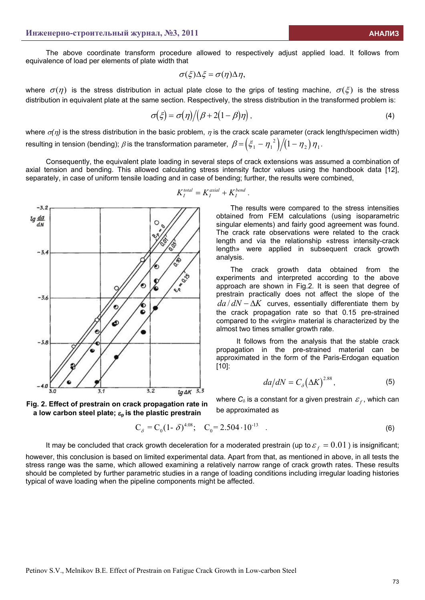The above coordinate transform procedure allowed to respectively adjust applied load. It follows from equivalence of load per elements of plate width that

$$
\sigma(\xi)\Delta\xi = \sigma(\eta)\Delta\eta,
$$

where  $\sigma(\eta)$  is the stress distribution in actual plate close to the grips of testing machine,  $\sigma(\zeta)$  is the stress distribution in equivalent plate at the same section. Respectively, the stress distribution in the transformed problem is:

$$
\sigma(\xi) = \sigma(\eta) / (\beta + 2(1 - \beta)\eta) \tag{4}
$$

where  $\sigma(\eta)$  is the stress distribution in the basic problem,  $\eta$  is the crack scale parameter (crack length/specimen width) resulting in tension (bending);  $\beta$  is the transformation parameter,  $\beta = (\xi_1 - \eta_1^2)/(1 - \eta_2) \eta_1$ .

Consequently, the equivalent plate loading in several steps of crack extensions was assumed a combination of axial tension and bending. This allowed calculating stress intensity factor values using the handbook data [12], separately, in case of uniform tensile loading and in case of bending; further, the results were combined,



**a low carbon steel plate;** ε**p is the plastic prestrain** 



The results were compared to the stress intensities obtained from FEM calculations (using isoparametric singular elements) and fairly good agreement was found. The crack rate observations were related to the crack length and via the relationship «stress intensity-crack length» were applied in subsequent crack growth analysis.

The crack growth data obtained from the experiments and interpreted according to the above approach are shown in Fig.2. It is seen that degree of prestrain practically does not affect the slope of the  $da/dN - \Delta K$  curves, essentially differentiate them by the crack propagation rate so that 0.15 pre-strained compared to the «virgin» material is characterized by the almost two times smaller growth rate.

It follows from the analysis that the stable crack propagation in the pre-strained material can be approximated in the form of the Paris-Erdogan equation [10]:

$$
da/dN = C_{\delta} (\Delta K)^{2.88}, \tag{5}
$$

where  $C_{\delta}$  is a constant for a given prestrain  $\varepsilon_f$ , which can **Fig. 2. Effect of prestrain on crack propagation rate in**  $\frac{1}{2}$  be approximated as

$$
C_{\delta} = C_0 (1 - \delta)^{4.08}; \quad C_0 = 2.504 \cdot 10^{-13} \quad . \tag{6}
$$

It may be concluded that crack growth deceleration for a moderated prestrain (up to  $\varepsilon_f = 0.01$  ) is insignificant;

however, this conclusion is based on limited experimental data. Apart from that, as mentioned in above, in all tests the stress range was the same, which allowed examining a relatively narrow range of crack growth rates. These results should be completed by further parametric studies in a range of loading conditions including irregular loading histories typical of wave loading when the pipeline components might be affected.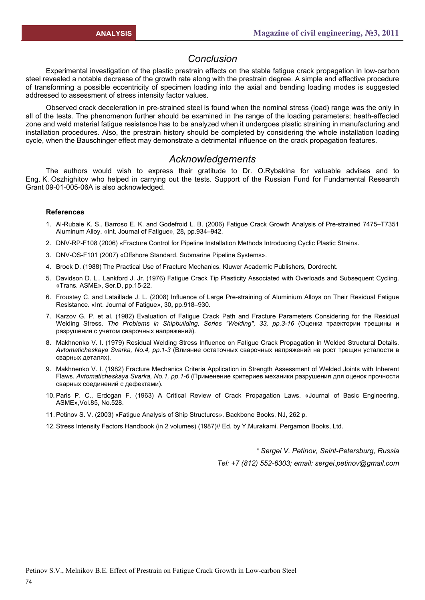## *Conclusion*

Experimental investigation of the plastic prestrain effects on the stable fatigue crack propagation in low-carbon steel revealed a notable decrease of the growth rate along with the prestrain degree. A simple and effective procedure of transforming a possible eccentricity of specimen loading into the axial and bending loading modes is suggested addressed to assessment of stress intensity factor values.

Observed crack deceleration in pre-strained steel is found when the nominal stress (load) range was the only in all of the tests. The phenomenon further should be examined in the range of the loading parameters; heath-affected zone and weld material fatigue resistance has to be analyzed when it undergoes plastic straining in manufacturing and installation procedures. Also, the prestrain history should be completed by considering the whole installation loading cycle, when the Bauschinger effect may demonstrate a detrimental influence on the crack propagation features.

## *Acknowledgements*

The authors would wish to express their gratitude to Dr. O.Rybakina for valuable advises and to Eng. K. Oszhighitov who helped in carrying out the tests. Support of the Russian Fund for Fundamental Research Grant 09-01-005-06A is also acknowledged.

#### **References**

- 1. Al-Rubaie K. S., Barroso E. K. and Godefroid L. B. (2006) Fatigue Crack Growth Analysis of Pre-strained 7475–T7351 Aluminum Alloy. «Int. Journal of Fatigue», 28**,** pp.934–942.
- 2. DNV-RP-F108 (2006) «Fracture Control for Pipeline Installation Methods Introducing Cyclic Plastic Strain».
- 3. DNV-OS-F101 (2007) «Offshore Standard. Submarine Pipeline Systems».
- 4. Broek D. (1988) The Practical Use of Fracture Mechanics. Kluwer Academic Publishers, Dordrecht.
- 5. Davidson D. L., Lankford J. Jr. (1976) Fatigue Crack Tip Plasticity Associated with Overloads and Subsequent Cycling. «Trans. ASME», Ser.D, pp.15-22.
- 6. Froustey C. and Lataillade J. L. (2008) Influence of Large Pre-straining of Aluminium Alloys on Their Residual Fatigue Resistance. «Int. Journal of Fatigue», 30**,** pp.918–930.
- 7. Karzov G. P. et al. (1982) Evaluation of Fatigue Crack Path and Fracture Parameters Considering for the Residual Welding Stress. *The Problems in Shipbuilding, Series "Welding", 33, pp.3-16* (Оценка траектории трещины и разрушения с учетом сварочных напряжений).
- 8. Makhnenko V. I. (1979) Residual Welding Stress Influence on Fatigue Crack Propagation in Welded Structural Details. *Avtomaticheskaya Svarka, No.4, pp.1-3* (Влияние остаточных сварочных напряжений на рост трещин усталости в сварных деталях).
- 9. Makhnenko V. I. (1982) Fracture Mechanics Criteria Application in Strength Assessment of Welded Joints with Inherent Flaws. *Avtomaticheskaya Svarka, No.1, pp.1-6* (Применение критериев механики разрушения для оценок прочности сварных соединений с дефектами).
- 10. Paris P. C., Erdogan F. (1963) A Critical Review of Crack Propagation Laws. «Journal of Basic Engineering, ASME»,Vol.85, No.528.
- 11. Petinov S. V. (2003) «Fatigue Analysis of Ship Structures». Backbone Books, NJ, 262 p.
- 12. Stress Intensity Factors Handbook (in 2 volumes) (1987)// Ed. by Y.Murakami. Pergamon Books, Ltd.

*\* Sergei V. Petinov, Saint-Petersburg, Russia* 

*Tel: +7 (812) 552-6303; email: sergei.petinov@gmail.com*